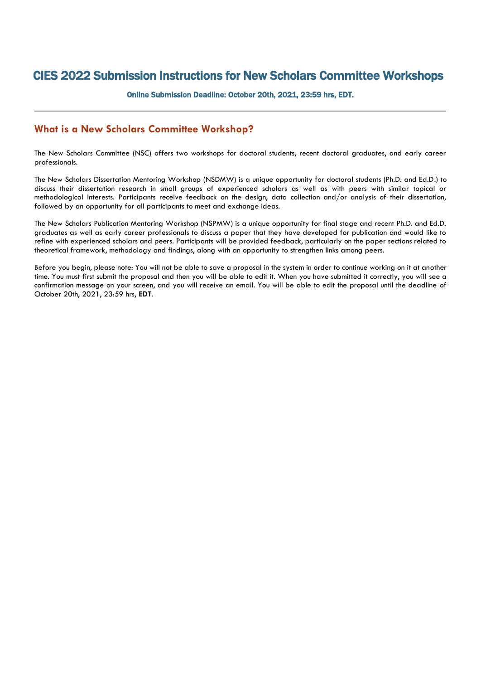## CIES 2022 Submission Instructions for New Scholars Committee Workshops

Online Submission Deadline: October 20th, 2021, 23:59 hrs, EDT.

## **What is a New Scholars Committee Workshop?**

The New Scholars Committee (NSC) offers two workshops for doctoral students, recent doctoral graduates, and early career professionals.

The New Scholars Dissertation Mentoring Workshop (NSDMW) is a unique opportunity for doctoral students (Ph.D. and Ed.D.) to discuss their dissertation research in small groups of experienced scholars as well as with peers with similar topical or methodological interests. Participants receive feedback on the design, data collection and/or analysis of their dissertation, followed by an opportunity for all participants to meet and exchange ideas.

The New Scholars Publication Mentoring Workshop (NSPMW) is a unique opportunity for final stage and recent Ph.D. and Ed.D. graduates as well as early career professionals to discuss a paper that they have developed for publication and would like to refine with experienced scholars and peers. Participants will be provided feedback, particularly on the paper sections related to theoretical framework, methodology and findings, along with an opportunity to strengthen links among peers.

Before you begin, please note: You will not be able to save a proposal in the system in order to continue working on it at another time. You must first submit the proposal and then you will be able to edit it. When you have submitted it correctly, you will see a confirmation message on your screen, and you will receive an email. You will be able to edit the proposal until the deadline of October 20th, 2021, 23:59 hrs, **EDT**.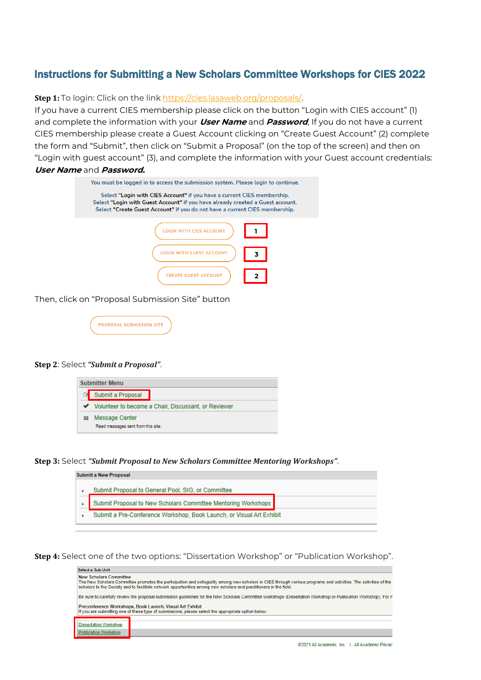## Instructions for Submitting a New Scholars Committee Workshops for CIES 2022

**Step 1:** To login: Click on the link [https://cies.lasaweb.org/proposals/.](https://cies.lasaweb.org/proposals/)

If you have a current CIES membership please click on the button "Login with CIES account" (1) and complete the information with your **User Name** and **Password**, If you do not have a current CIES membership please create a Guest Account clicking on "Create Guest Account" (2) complete the form and "Submit", then click on "Submit a Proposal" (on the top of the screen) and then on "Login with guest account" (3), and complete the information with your Guest account credentials: **User Name** and **Password.**

| You must be logged in to access the submission system. Please login to continue.                                                                                                                                                         |   |
|------------------------------------------------------------------------------------------------------------------------------------------------------------------------------------------------------------------------------------------|---|
| Select "Login with CIES Account" if you have a current CIES membership.<br>Select "Login with Guest Account" if you have already created a Guest account.<br>Select "Create Guest Account" if you do not have a current CIES membership. |   |
| <b>ITH CIES ACCOUNT</b>                                                                                                                                                                                                                  |   |
| WITH GUEST ACCOUNT                                                                                                                                                                                                                       | 3 |
| <b>CREATE GUEST ACCOUNT</b>                                                                                                                                                                                                              |   |

Then, click on "Proposal Submission Site" button

| <b>PROPOSAL SUBMISSION SITE</b> |  |
|---------------------------------|--|
|                                 |  |

## **Step 2**: Select *"Submit a Proposal"*.

| <b>Submitter Menu</b> |                                                        |                                                      |  |
|-----------------------|--------------------------------------------------------|------------------------------------------------------|--|
|                       |                                                        | Submit a Proposal                                    |  |
|                       | V Volunteer to become a Chair, Discussant, or Reviewer |                                                      |  |
|                       |                                                        | Message Center<br>Read messages sent from this site. |  |

**Step 3:** Select *"Submit Proposal to New Scholars Committee Mentoring Workshops"*.

| Submit a New Proposal                                                |
|----------------------------------------------------------------------|
| Submit Proposal to General Pool, SIG, or Committee                   |
| Submit Proposal to New Scholars Committee Mentoring Workshops        |
| Submit a Pre-Conference Workshop, Book Launch, or Visual Art Exhibit |

**Step 4:** Select one of the two options: "Dissertation Workshop" or "Publication Workshop".

| <b>Select a Sub Unit</b>                                                                                                                                       |                                                                                                                                                                                                                                                                                        |  |
|----------------------------------------------------------------------------------------------------------------------------------------------------------------|----------------------------------------------------------------------------------------------------------------------------------------------------------------------------------------------------------------------------------------------------------------------------------------|--|
| <b>New Scholars Committee</b>                                                                                                                                  | The New Scholars Committee promotes the participation and collegiality among new scholars in CIES through various programs and activities. The activities of the<br>scholars to the Society and to facilitate network opportunities among new scholars and practitioners in the field. |  |
| Be sure to carefully review the proposal submission quidelines for the New Scholars Committee workshops (Dissertation Workshop or Publication Workshop). For m |                                                                                                                                                                                                                                                                                        |  |
|                                                                                                                                                                | Preconference Workshops, Book Launch, Visual Art Exhibit<br>If you are submitting one of these type of submissions, please select the appropriate option below.                                                                                                                        |  |
|                                                                                                                                                                |                                                                                                                                                                                                                                                                                        |  |
| <b>Dissertation Workshop</b>                                                                                                                                   |                                                                                                                                                                                                                                                                                        |  |
| <b>Publication Workshop</b>                                                                                                                                    |                                                                                                                                                                                                                                                                                        |  |